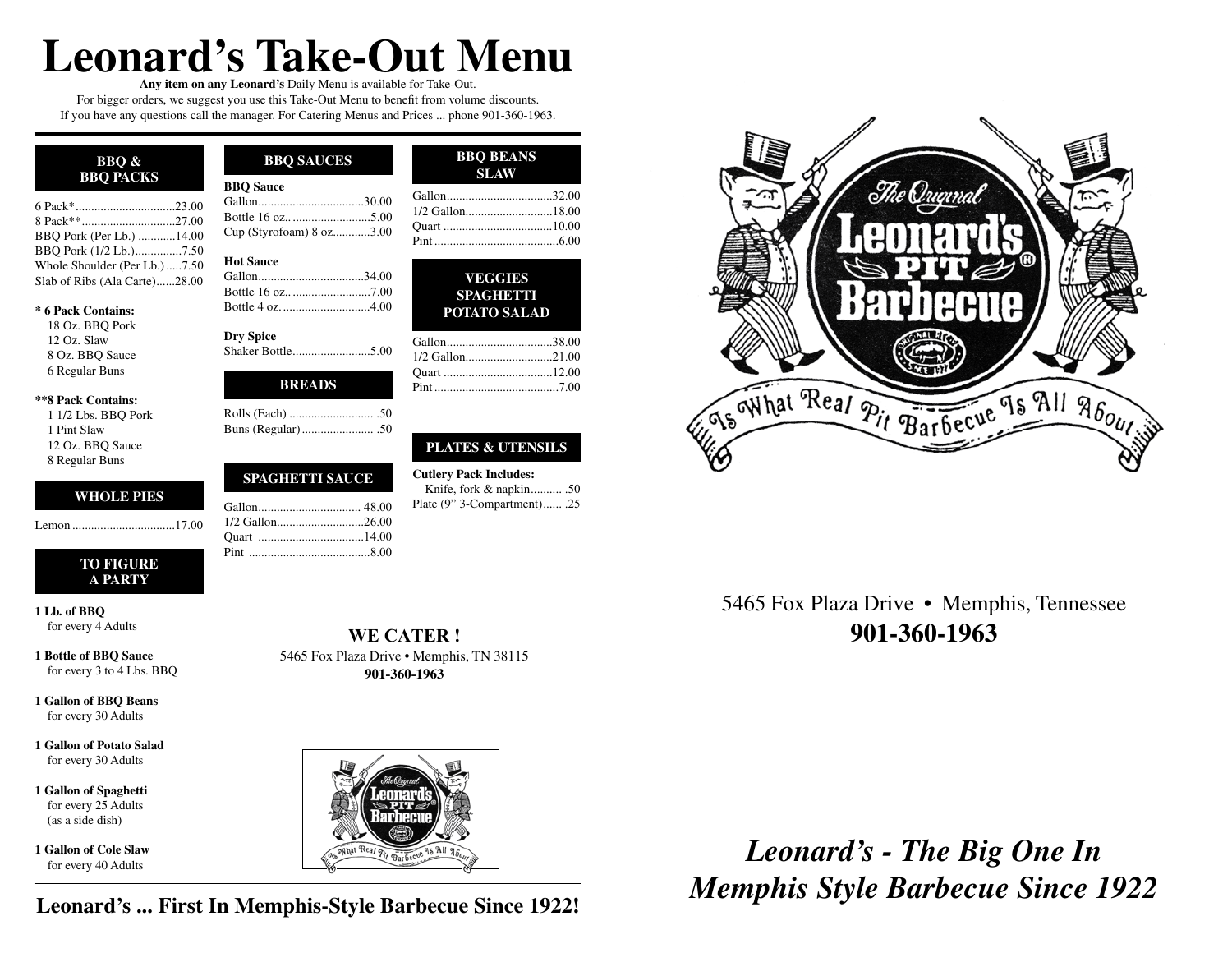# **Leonard's Take-Out Menu**

**Any item on any Leonard's** Daily Menu is available for Take-Out. For bigger orders, we suggest you use this Take-Out Menu to benefit from volume discounts. If you have any questions call the manager. For Catering Menus and Prices ... phone 901-360-1963.

| BBO &<br><b>BBO PACKS</b> |  |
|---------------------------|--|
| 6 Pack* 23.00             |  |
|                           |  |
| BBQ Pork (Per Lb.) 14.00  |  |

| BBO Pork (Per Lb.) 14.00      |  |
|-------------------------------|--|
| BBO Pork (1/2 Lb.)7.50        |  |
| Whole Shoulder (Per Lb.) 7.50 |  |
| Slab of Ribs (Ala Carte)28.00 |  |

#### **\* 6 Pack Contains:**

18 Oz. BBQ Pork 12 Oz. Slaw 8 Oz. BBQ Sauce 6 Regular Buns

#### **\*\*8 Pack Contains:**

1 1/2 Lbs. BBQ Pork 1 Pint Slaw 12 Oz. BBQ Sauce 8 Regular Buns

## **WHOLE PIES**

Lemon .................................17.00

#### **TO FIGURE A PARTY**

**1 Lb. of BBQ** for every 4 Adults

**1 Bottle of BBQ Sauce** for every 3 to 4 Lbs. BBQ

**1 Gallon of BBQ Beans** for every 30 Adults

**1 Gallon of Potato Salad** for every 30 Adults

**1 Gallon of Spaghetti** for every 25 Adults (as a side dish)

**1 Gallon of Cole Slaw** for every 40 Adults

## **BBQ SAUCES BBQ BEANS BBQ Sauce** Gallon ..................................30.00 Bottle 16 oz.. .........................5.00 Cup (Styrofoam) 8 oz. ...........3.00

**SLAW**

Gallon ..................................32.00 1/2 Gallon...............................18.00 Quart ...................................10.00 Pint ........................................6.00

> **VEGGIES SPAGHETTI POTATO SALAD**

Gallon ..................................38.00 1/2 Gallon................................21.00 Quart ...................................12.00 Pint ........................................7.00

**PLATES & UTENSILS**

Knife, fork & napkin .......... .50 Plate (9" 3-Compartment) ...... .25

**Cutlery Pack Includes:**

| <b>Hot Sauce</b> |
|------------------|
|                  |

| Bottle 16 oz7.00  |  |
|-------------------|--|
| Bottle 4 oz. 4.00 |  |

**Dry Spice** Shaker Bottle .........................5.00

## **BREADS**

## **SPAGHETTI SAUCE**

**WE CATER !** 5465 Fox Plaza Drive • Memphis, TN 38115 **901-360-1963**



**Leonard's ... First In Memphis-Style Barbecue Since 1922!**

|                                          | The Original |                                |  |
|------------------------------------------|--------------|--------------------------------|--|
|                                          |              | <b>GONARDS</b><br>.®<br>[HHI(H |  |
|                                          |              |                                |  |
| Was What Real Pit Barbecue 9s All 960urs |              |                                |  |

5465 Fox Plaza Drive • Memphis, Tennessee **901-360-1963**

*Leonard's - The Big One In Memphis Style Barbecue Since 1922*